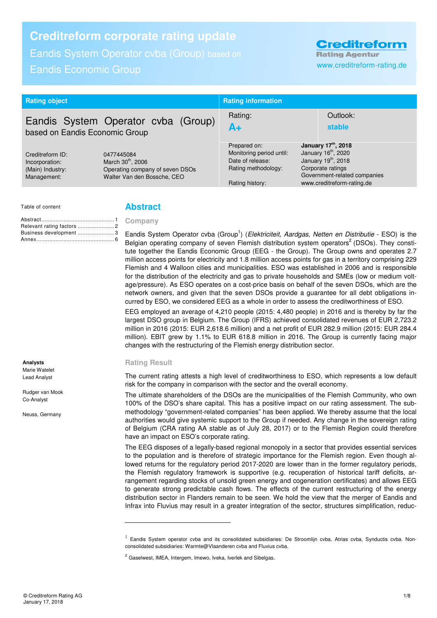# **Creditreform corporate rating update**

Eandis System Operator cvba (Group) based on

# Eandis Economic Group www.creditreform-rating.de

**Creditreform Rating Agentur** 

| <b>Rating object</b>                              |                                                                                                 | <b>Rating information</b>                |                                                       |  |
|---------------------------------------------------|-------------------------------------------------------------------------------------------------|------------------------------------------|-------------------------------------------------------|--|
| Eandis System Operator cvba (Group)               |                                                                                                 | Rating:                                  | Outlook:                                              |  |
| based on Eandis Economic Group                    |                                                                                                 | A+                                       | <b>stable</b>                                         |  |
| Creditreform ID:                                  | 0477445084                                                                                      | Prepared on:<br>Monitoring period until: | January 17th, 2018<br>January 16 <sup>th</sup> , 2020 |  |
| Incorporation:<br>(Main) Industry:<br>Management: | March 30 <sup>th</sup> , 2006<br>Operating company of seven DSOs<br>Walter Van den Bossche, CEO | Date of release:                         | January 19 <sup>th</sup> , 2018                       |  |
|                                                   |                                                                                                 | Rating methodology:                      | Corporate ratings                                     |  |
|                                                   |                                                                                                 |                                          | Government-related companies                          |  |
|                                                   |                                                                                                 | Rating history:                          | www.creditreform-rating.de                            |  |

Table of content

Business development ....................... 3 Annex ................................................. 6

# **Abstract**

#### **Company**  Abstract .............................................. 1 Relevant rating factors ............................ 2

Eandis System Operator cvba (Group<sup>1</sup>) (*Elektriciteit, Aardgas, Netten en Distributie -* ESO) is the Belgian operating company of seven Flemish distribution system operators<sup>2</sup> (DSOs). They constitute together the Eandis Economic Group (EEG - the Group). The Group owns and operates 2.7 million access points for electricity and 1.8 million access points for gas in a territory comprising 229 Flemish and 4 Walloon cities and municipalities. ESO was established in 2006 and is responsible for the distribution of the electricity and gas to private households and SMEs (low or medium voltage/pressure). As ESO operates on a cost-price basis on behalf of the seven DSOs, which are the network owners, and given that the seven DSOs provide a guarantee for all debt obligations incurred by ESO, we considered EEG as a whole in order to assess the creditworthiness of ESO.

EEG employed an average of 4,210 people (2015: 4,480 people) in 2016 and is thereby by far the largest DSO group in Belgium. The Group (IFRS) achieved consolidated revenues of EUR 2,723.2 million in 2016 (2015: EUR 2,618.6 million) and a net profit of EUR 282.9 million (2015: EUR 284.4 million). EBIT grew by 1.1% to EUR 618.8 million in 2016. The Group is currently facing major changes with the restructuring of the Flemish energy distribution sector.

### **Rating Result**

j

The current rating attests a high level of creditworthiness to ESO, which represents a low default risk for the company in comparison with the sector and the overall economy.

The ultimate shareholders of the DSOs are the municipalities of the Flemish Community, who own 100% of the DSO's share capital. This has a positive impact on our rating assessment. The submethodology "government-related companies" has been applied. We thereby assume that the local authorities would give systemic support to the Group if needed. Any change in the sovereign rating of Belgium (CRA rating AA stable as of July 28, 2017) or to the Flemish Region could therefore have an impact on ESO's corporate rating.

The EEG disposes of a legally-based regional monopoly in a sector that provides essential services to the population and is therefore of strategic importance for the Flemish region. Even though allowed returns for the regulatory period 2017-2020 are lower than in the former regulatory periods, the Flemish regulatory framework is supportive (e.g. recuperation of historical tariff deficits, arrangement regarding stocks of unsold green energy and cogeneration certificates) and allows EEG to generate strong predictable cash flows. The effects of the current restructuring of the energy distribution sector in Flanders remain to be seen. We hold the view that the merger of Eandis and Infrax into Fluvius may result in a greater integration of the sector, structures simplification, reduc-

**Analysts**  Marie Watelet

Lead Analyst

Rudger van Mook Co-Analyst

Neuss, Germany

<sup>&</sup>lt;sup>1</sup> Eandis System operator cvba and its consolidated subsidiaries: De Stroomlijn cvba, Atrias cvba, Synductis cvba. Nonconsolidated subsidiaries: Warmte@Vlaanderen cvba and Fluvius cvba.

<sup>&</sup>lt;sup>2</sup> Gaselwest, IMEA, Intergem, Imewo, Iveka, Iverlek and Sibelgas.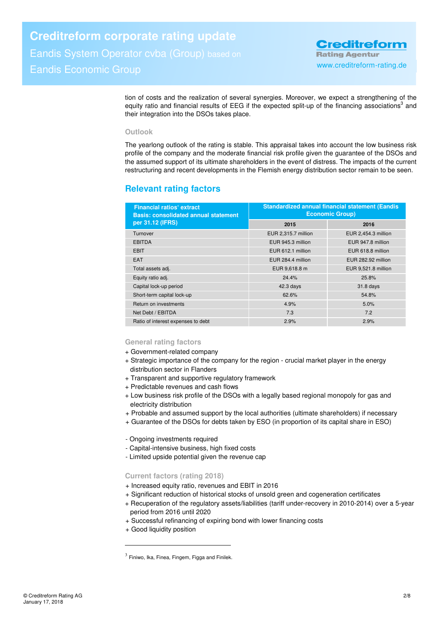tion of costs and the realization of several synergies. Moreover, we expect a strengthening of the equity ratio and financial results of EEG if the expected split-up of the financing associations<sup>3</sup> and their integration into the DSOs takes place.

### **Outlook**

The yearlong outlook of the rating is stable. This appraisal takes into account the low business risk profile of the company and the moderate financial risk profile given the guarantee of the DSOs and the assumed support of its ultimate shareholders in the event of distress. The impacts of the current restructuring and recent developments in the Flemish energy distribution sector remain to be seen.

# **Relevant rating factors**

| <b>Standardized annual financial statement (Eandis</b><br><b>Economic Group)</b> |                     |  |
|----------------------------------------------------------------------------------|---------------------|--|
| 2015                                                                             | 2016                |  |
| EUR 2,315.7 million                                                              | EUR 2,454.3 million |  |
| EUR 945.3 million                                                                | EUR 947.8 million   |  |
| EUR 612.1 million                                                                | EUR 618.8 million   |  |
| EUR 284.4 million                                                                | EUR 282.92 million  |  |
| EUR 9,618.8 m                                                                    | EUR 9,521.8 million |  |
| 24.4%                                                                            | 25.8%               |  |
| $42.3$ days                                                                      | 31.8 days           |  |
| 62.6%                                                                            | 54.8%               |  |
| 4.9%                                                                             | 5.0%                |  |
| 7.3                                                                              | 7.2                 |  |
| 2.9%                                                                             | 2.9%                |  |
|                                                                                  |                     |  |

### **General rating factors**

- + Government-related company
- + Strategic importance of the company for the region crucial market player in the energy distribution sector in Flanders
- + Transparent and supportive regulatory framework
- + Predictable revenues and cash flows
- + Low business risk profile of the DSOs with a legally based regional monopoly for gas and electricity distribution
- + Probable and assumed support by the local authorities (ultimate shareholders) if necessary
- + Guarantee of the DSOs for debts taken by ESO (in proportion of its capital share in ESO)

- Ongoing investments required

- Capital-intensive business, high fixed costs
- Limited upside potential given the revenue cap

### **Current factors (rating 2018)**

- + Increased equity ratio, revenues and EBIT in 2016
- + Significant reduction of historical stocks of unsold green and cogeneration certificates
- + Recuperation of the regulatory assets/liabilities (tariff under-recovery in 2010-2014) over a 5-year period from 2016 until 2020
- + Successful refinancing of expiring bond with lower financing costs
- + Good liquidity position

 $\overline{a}$ 

 $^3$  Finiwo, Ika, Finea, Fingem, Figga and Finilek.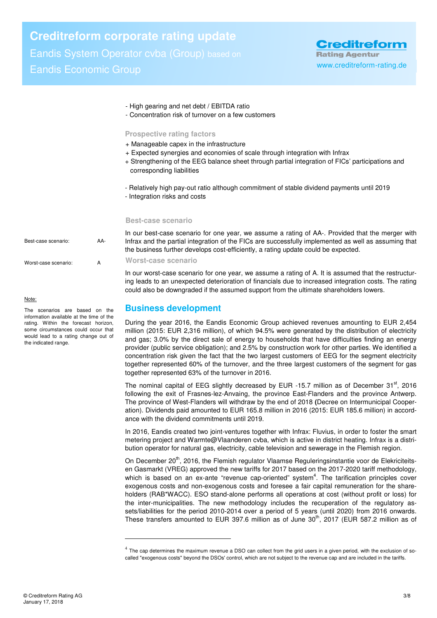# **Creditreform corporate rating update**

Eandis System Operator cvba (Group) based on Eandis Economic Group www.creditreform-rating.de

**Creditreform Rating Agentur** 

- High gearing and net debt / EBITDA ratio
- Concentration risk of turnover on a few customers

#### **Prospective rating factors**

- + Manageable capex in the infrastructure
- + Expected synergies and economies of scale through integration with Infrax
- + Strengthening of the EEG balance sheet through partial integration of FICs' participations and corresponding liabilities
- Relatively high pay-out ratio although commitment of stable dividend payments until 2019
- Integration risks and costs

#### **Best-case scenario**

In our best-case scenario for one year, we assume a rating of AA-. Provided that the merger with Infrax and the partial integration of the FICs are successfully implemented as well as assuming that the business further develops cost-efficiently, a rating update could be expected.

**Worst-case scenario** 

 $\overline{a}$ 

In our worst-case scenario for one year, we assume a rating of A. It is assumed that the restructuring leads to an unexpected deterioration of financials due to increased integration costs. The rating could also be downgraded if the assumed support from the ultimate shareholders lowers.

# **Business development**

During the year 2016, the Eandis Economic Group achieved revenues amounting to EUR 2,454 million (2015: EUR 2,316 million), of which 94.5% were generated by the distribution of electricity and gas; 3.0% by the direct sale of energy to households that have difficulties finding an energy provider (public service obligation); and 2.5% by construction work for other parties. We identified a concentration risk given the fact that the two largest customers of EEG for the segment electricity together represented 60% of the turnover, and the three largest customers of the segment for gas together represented 63% of the turnover in 2016.

The nominal capital of EEG slightly decreased by EUR -15.7 million as of December  $31<sup>st</sup>$ , 2016 following the exit of Frasnes-lez-Anvaing, the province East-Flanders and the province Antwerp. The province of West-Flanders will withdraw by the end of 2018 **(**Decree on Intermunicipal Cooperation). Dividends paid amounted to EUR 165.8 million in 2016 (2015: EUR 185.6 million) in accordance with the dividend commitments until 2019.

In 2016, Eandis created two joint-ventures together with Infrax: Fluvius, in order to foster the smart metering project and Warmte@Vlaanderen cvba, which is active in district heating. Infrax is a distribution operator for natural gas, electricity, cable television and sewerage in the Flemish region.

On December 20<sup>th</sup>, 2016, the Flemish regulator Vlaamse Reguleringsinstantie voor de Elekriciteitsen Gasmarkt (VREG) approved the new tariffs for 2017 based on the 2017-2020 tariff methodology, which is based on an ex-ante "revenue cap-oriented" system<sup>4</sup>. The tarification principles cover exogenous costs and non-exogenous costs and foresee a fair capital remuneration for the shareholders (RAB\*WACC). ESO stand-alone performs all operations at cost (without profit or loss) for the inter-municipalities. The new methodology includes the recuperation of the regulatory assets/liabilities for the period 2010-2014 over a period of 5 years (until 2020) from 2016 onwards. These transfers amounted to EUR 397.6 million as of June  $30<sup>th</sup>$ , 2017 (EUR 587.2 million as of

Best-case scenario: AA-Worst-case scenario: A

#### Note:

The scenarios are based on the information available at the time of the rating. Within the forecast horizon, some circumstances could occur that would lead to a rating change out of the indicated range.

<sup>&</sup>lt;sup>4</sup> The cap determines the maximum revenue a DSO can collect from the grid users in a given period, with the exclusion of socalled "exogenous costs" beyond the DSOs' control, which are not subject to the revenue cap and are included in the tariffs.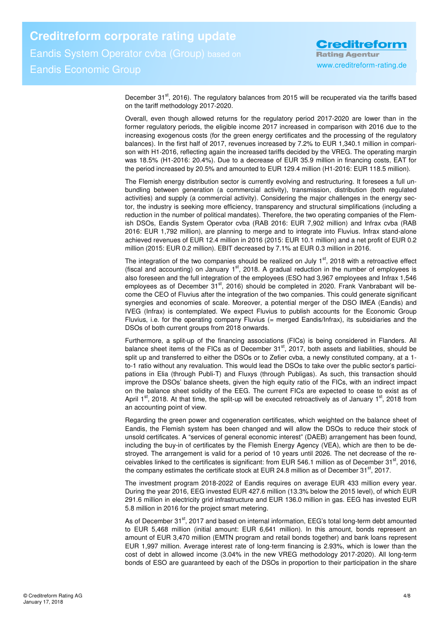**Creditreform Rating Agentur** 

December 31<sup>st</sup>, 2016). The regulatory balances from 2015 will be recuperated via the tariffs based on the tariff methodology 2017-2020.

Overall, even though allowed returns for the regulatory period 2017-2020 are lower than in the former regulatory periods, the eligible income 2017 increased in comparison with 2016 due to the increasing exogenous costs (for the green energy certificates and the processing of the regulatory balances). In the first half of 2017, revenues increased by 7.2% to EUR 1,340.1 million in comparison with H1-2016, reflecting again the increased tariffs decided by the VREG. The operating margin was 18.5% (H1-2016: 20.4%). Due to a decrease of EUR 35.9 million in financing costs, EAT for the period increased by 20.5% and amounted to EUR 129.4 million (H1-2016: EUR 118.5 million).

The Flemish energy distribution sector is currently evolving and restructuring. It foresees a full unbundling between generation (a commercial activity), transmission, distribution (both regulated activities) and supply (a commercial activity). Considering the major challenges in the energy sector, the industry is seeking more efficiency, transparency and structural simplifications (including a reduction in the number of political mandates). Therefore, the two operating companies of the Flemish DSOs, Eandis System Operator cvba (RAB 2016: EUR 7,902 million) and Infrax cvba (RAB 2016: EUR 1,792 million), are planning to merge and to integrate into Fluvius. Infrax stand-alone achieved revenues of EUR 12.4 million in 2016 (2015: EUR 10.1 million) and a net profit of EUR 0.2 million (2015: EUR 0.2 million). EBIT decreased by 7.1% at EUR 0.3 million in 2016.

The integration of the two companies should be realized on July  $1<sup>st</sup>$ , 2018 with a retroactive effect (fiscal and accounting) on January  $1<sup>st</sup>$ , 2018. A gradual reduction in the number of employees is also foreseen and the full integration of the employees (ESO had 3,967 employees and Infrax 1,546 employees as of December  $31<sup>st</sup>$ , 2016) should be completed in 2020. Frank Vanbrabant will become the CEO of Fluvius after the integration of the two companies. This could generate significant synergies and economies of scale. Moreover, a potential merger of the DSO IMEA (Eandis) and IVEG (Infrax) is contemplated. We expect Fluvius to publish accounts for the Economic Group Fluvius, i.e. for the operating company Fluvius (= merged Eandis/Infrax), its subsidiaries and the DSOs of both current groups from 2018 onwards.

Furthermore, a split-up of the financing associations (FICs) is being considered in Flanders. All balance sheet items of the FICs as of December 31<sup>st</sup>, 2017, both assets and liabilities, should be split up and transferred to either the DSOs or to Zefier cvba, a newly constituted company, at a 1 to-1 ratio without any revaluation. This would lead the DSOs to take over the public sector's participations in Elia (through Publi-T) and Fluxys (through Publigas). As such, this transaction should improve the DSOs' balance sheets, given the high equity ratio of the FICs, with an indirect impact on the balance sheet solidity of the EEG. The current FICs are expected to cease to exist as of April  $1^{st}$ , 2018. At that time, the split-up will be executed retroactively as of January  $1^{st}$ , 2018 from an accounting point of view.

Regarding the green power and cogeneration certificates, which weighted on the balance sheet of Eandis, the Flemish system has been changed and will allow the DSOs to reduce their stock of unsold certificates. A "services of general economic interest" (DAEB) arrangement has been found, including the buy-in of certificates by the Flemish Energy Agency (VEA), which are then to be destroyed. The arrangement is valid for a period of 10 years until 2026. The net decrease of the receivables linked to the certificates is significant: from EUR 546.1 million as of December 31<sup>st</sup>, 2016, the company estimates the certificate stock at EUR 24.8 million as of December  $31<sup>st</sup>$ , 2017.

The investment program 2018-2022 of Eandis requires on average EUR 433 million every year. During the year 2016, EEG invested EUR 427.6 million (13.3% below the 2015 level), of which EUR 291.6 million in electricity grid infrastructure and EUR 136.0 million in gas. EEG has invested EUR 5.8 million in 2016 for the project smart metering.

As of December 31<sup>st</sup>, 2017 and based on internal information, EEG's total long-term debt amounted to EUR 5,468 million (initial amount: EUR 6,641 million). In this amount, bonds represent an amount of EUR 3,470 million (EMTN program and retail bonds together) and bank loans represent EUR 1,997 million. Average interest rate of long-term financing is 2.93%, which is lower than the cost of debt in allowed income (3.04% in the new VREG methodology 2017-2020). All long-term bonds of ESO are guaranteed by each of the DSOs in proportion to their participation in the share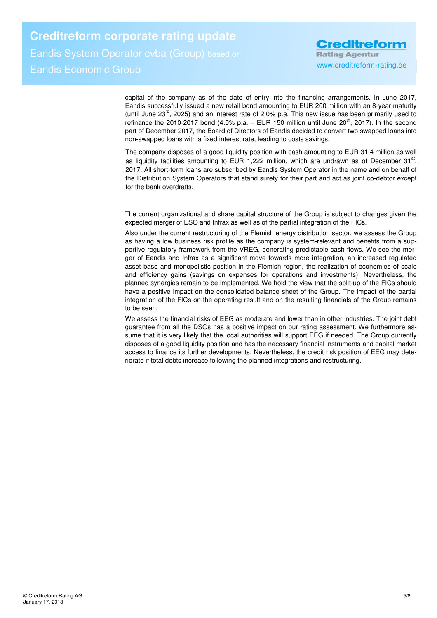**Creditreform corporate rating update**  Eandis System Operator cvba (Group) based on Eandis Economic Group www.creditreform-rating.de

**Creditreform Rating Agentur** 

capital of the company as of the date of entry into the financing arrangements. In June 2017, Eandis successfully issued a new retail bond amounting to EUR 200 million with an 8-year maturity (until June  $23<sup>rd</sup>$ , 2025) and an interest rate of 2.0% p.a. This new issue has been primarily used to refinance the 2010-2017 bond (4.0% p.a. – EUR 150 million until June  $20^{th}$ , 2017). In the second part of December 2017, the Board of Directors of Eandis decided to convert two swapped loans into non-swapped loans with a fixed interest rate, leading to costs savings.

The company disposes of a good liquidity position with cash amounting to EUR 31.4 million as well as liquidity facilities amounting to EUR 1,222 million, which are undrawn as of December  $31<sup>st</sup>$ , 2017. All short-term loans are subscribed by Eandis System Operator in the name and on behalf of the Distribution System Operators that stand surety for their part and act as joint co-debtor except for the bank overdrafts.

The current organizational and share capital structure of the Group is subject to changes given the expected merger of ESO and Infrax as well as of the partial integration of the FICs.

Also under the current restructuring of the Flemish energy distribution sector, we assess the Group as having a low business risk profile as the company is system-relevant and benefits from a supportive regulatory framework from the VREG, generating predictable cash flows. We see the merger of Eandis and Infrax as a significant move towards more integration, an increased regulated asset base and monopolistic position in the Flemish region, the realization of economies of scale and efficiency gains (savings on expenses for operations and investments). Nevertheless, the planned synergies remain to be implemented. We hold the view that the split-up of the FICs should have a positive impact on the consolidated balance sheet of the Group. The impact of the partial integration of the FICs on the operating result and on the resulting financials of the Group remains to be seen.

We assess the financial risks of EEG as moderate and lower than in other industries. The joint debt guarantee from all the DSOs has a positive impact on our rating assessment. We furthermore assume that it is very likely that the local authorities will support EEG if needed. The Group currently disposes of a good liquidity position and has the necessary financial instruments and capital market access to finance its further developments. Nevertheless, the credit risk position of EEG may deteriorate if total debts increase following the planned integrations and restructuring.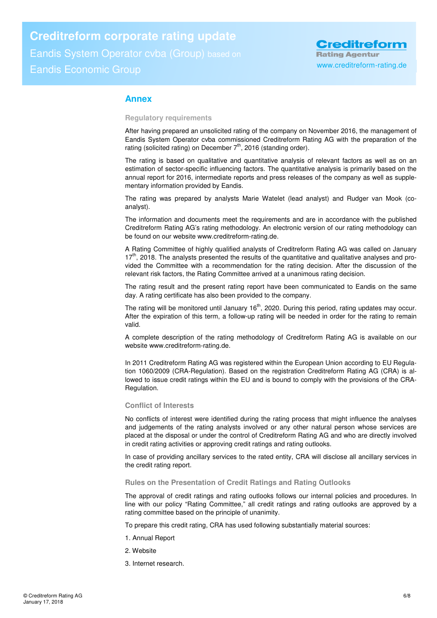# **Creditreform corporate rating update**

Eandis System Operator cvba (Group) based on Eandis Economic Group www.creditreform-rating.de

# **Annex**

#### **Regulatory requirements**

After having prepared an unsolicited rating of the company on November 2016, the management of Eandis System Operator cvba commissioned Creditreform Rating AG with the preparation of the rating (solicited rating) on December  $7<sup>th</sup>$ , 2016 (standing order).

The rating is based on qualitative and quantitative analysis of relevant factors as well as on an estimation of sector-specific influencing factors. The quantitative analysis is primarily based on the annual report for 2016, intermediate reports and press releases of the company as well as supplementary information provided by Eandis.

The rating was prepared by analysts Marie Watelet (lead analyst) and Rudger van Mook (coanalyst).

The information and documents meet the requirements and are in accordance with the published Creditreform Rating AG's rating methodology. An electronic version of our rating methodology can be found on our website www.creditreform-rating.de.

A Rating Committee of highly qualified analysts of Creditreform Rating AG was called on January  $17<sup>th</sup>$ , 2018. The analysts presented the results of the quantitative and qualitative analyses and provided the Committee with a recommendation for the rating decision. After the discussion of the relevant risk factors, the Rating Committee arrived at a unanimous rating decision.

The rating result and the present rating report have been communicated to Eandis on the same day. A rating certificate has also been provided to the company.

The rating will be monitored until January  $16<sup>th</sup>$ , 2020. During this period, rating updates may occur. After the expiration of this term, a follow-up rating will be needed in order for the rating to remain valid.

A complete description of the rating methodology of Creditreform Rating AG is available on our website www.creditreform-rating.de.

In 2011 Creditreform Rating AG was registered within the European Union according to EU Regulation 1060/2009 (CRA-Regulation). Based on the registration Creditreform Rating AG (CRA) is allowed to issue credit ratings within the EU and is bound to comply with the provisions of the CRA-Regulation.

#### **Conflict of Interests**

No conflicts of interest were identified during the rating process that might influence the analyses and judgements of the rating analysts involved or any other natural person whose services are placed at the disposal or under the control of Creditreform Rating AG and who are directly involved in credit rating activities or approving credit ratings and rating outlooks.

In case of providing ancillary services to the rated entity, CRA will disclose all ancillary services in the credit rating report.

#### **Rules on the Presentation of Credit Ratings and Rating Outlooks**

The approval of credit ratings and rating outlooks follows our internal policies and procedures. In line with our policy "Rating Committee," all credit ratings and rating outlooks are approved by a rating committee based on the principle of unanimity.

To prepare this credit rating, CRA has used following substantially material sources:

- 1. Annual Report
- 2. Website
- 3. Internet research.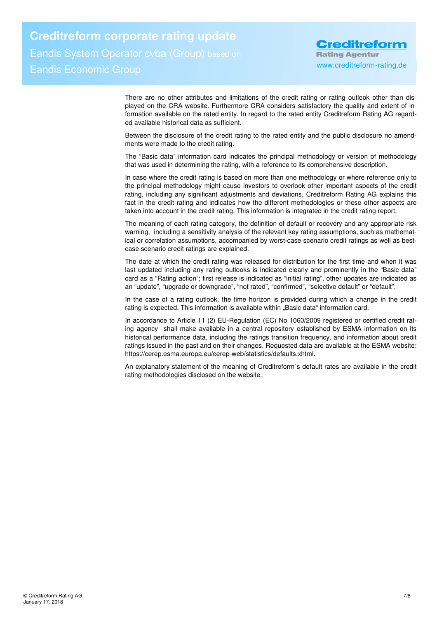**Creditreform corporate rating update**  Eandis System Operator cvba (Group) based on Eandis Economic Group www.creditreform-rating.de

**Creditreform Rating Agentur** 

There are no other attributes and limitations of the credit rating or rating outlook other than displayed on the CRA website. Furthermore CRA considers satisfactory the quality and extent of information available on the rated entity. In regard to the rated entity Creditreform Rating AG regarded available historical data as sufficient.

Between the disclosure of the credit rating to the rated entity and the public disclosure no amendments were made to the credit rating.

The "Basic data" information card indicates the principal methodology or version of methodology that was used in determining the rating, with a reference to its comprehensive description.

In case where the credit rating is based on more than one methodology or where reference only to the principal methodology might cause investors to overlook other important aspects of the credit rating, including any significant adjustments and deviations, Creditreform Rating AG explains this fact in the credit rating and indicates how the different methodologies or these other aspects are taken into account in the credit rating. This information is integrated in the credit rating report.

The meaning of each rating category, the definition of default or recovery and any appropriate risk warning, including a sensitivity analysis of the relevant key rating assumptions, such as mathematical or correlation assumptions, accompanied by worst-case scenario credit ratings as well as bestcase scenario credit ratings are explained.

The date at which the credit rating was released for distribution for the first time and when it was last updated including any rating outlooks is indicated clearly and prominently in the "Basic data" card as a "Rating action"; first release is indicated as "initial rating", other updates are indicated as an "update", "upgrade or downgrade", "not rated", "confirmed", "selective default" or "default".

In the case of a rating outlook, the time horizon is provided during which a change in the credit rating is expected. This information is available within "Basic data" information card.

In accordance to Article 11 (2) EU-Regulation (EC) No 1060/2009 registered or certified credit rating agency shall make available in a central repository established by ESMA information on its historical performance data, including the ratings transition frequency, and information about credit ratings issued in the past and on their changes. Requested data are available at the ESMA website: https://cerep.esma.europa.eu/cerep-web/statistics/defaults.xhtml.

An explanatory statement of the meaning of Creditreform`s default rates are available in the credit rating methodologies disclosed on the website.